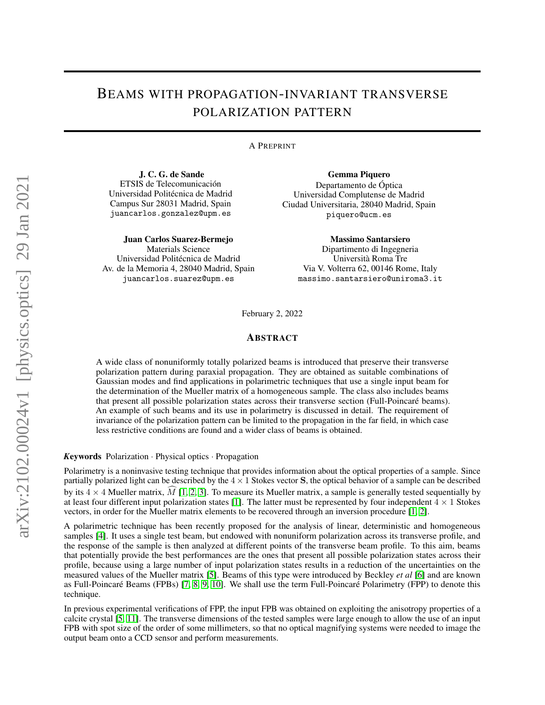## BEAMS WITH PROPAGATION-INVARIANT TRANSVERSE POLARIZATION PATTERN

## A PREPRINT

J. C. G. de Sande ETSIS de Telecomunicación Universidad Politécnica de Madrid Campus Sur 28031 Madrid, Spain juancarlos.gonzalez@upm.es

Juan Carlos Suarez-Bermejo Materials Science Universidad Politécnica de Madrid Av. de la Memoria 4, 28040 Madrid, Spain juancarlos.suarez@upm.es

Gemma Piquero

Departamento de Óptica Universidad Complutense de Madrid Ciudad Universitaria, 28040 Madrid, Spain piquero@ucm.es

> Massimo Santarsiero Dipartimento di Ingegneria Università Roma Tre Via V. Volterra 62, 00146 Rome, Italy massimo.santarsiero@uniroma3.it

February 2, 2022

## ABSTRACT

A wide class of nonuniformly totally polarized beams is introduced that preserve their transverse polarization pattern during paraxial propagation. They are obtained as suitable combinations of Gaussian modes and find applications in polarimetric techniques that use a single input beam for the determination of the Mueller matrix of a homogeneous sample. The class also includes beams that present all possible polarization states across their transverse section (Full-Poincaré beams). An example of such beams and its use in polarimetry is discussed in detail. The requirement of invariance of the polarization pattern can be limited to the propagation in the far field, in which case less restrictive conditions are found and a wider class of beams is obtained.

*K*eywords Polarization · Physical optics · Propagation

Polarimetry is a noninvasive testing technique that provides information about the optical properties of a sample. Since partially polarized light can be described by the  $4 \times 1$  Stokes vector S, the optical behavior of a sample can be described by its  $4 \times 4$  Mueller matrix,  $\hat{M}$  [\[1,](#page-5-0) [2,](#page-5-1) [3\]](#page-5-2). To measure its Mueller matrix, a sample is generally tested sequentially by at least four different input polarization states [\[1\]](#page-5-0). The latter must be represented by four independent  $4 \times 1$  Stokes vectors, in order for the Mueller matrix elements to be recovered through an inversion procedure [\[1,](#page-5-0) [2\]](#page-5-1).

A polarimetric technique has been recently proposed for the analysis of linear, deterministic and homogeneous samples [\[4\]](#page-5-3). It uses a single test beam, but endowed with nonuniform polarization across its transverse profile, and the response of the sample is then analyzed at different points of the transverse beam profile. To this aim, beams that potentially provide the best performances are the ones that present all possible polarization states across their profile, because using a large number of input polarization states results in a reduction of the uncertainties on the measured values of the Mueller matrix [\[5\]](#page-5-4). Beams of this type were introduced by Beckley *et al* [\[6\]](#page-5-5) and are known as Full-Poincaré Beams (FPBs) [\[7,](#page-5-6) [8,](#page-5-7) [9,](#page-5-8) [10\]](#page-5-9). We shall use the term Full-Poincaré Polarimetry (FPP) to denote this technique.

In previous experimental verifications of FPP, the input FPB was obtained on exploiting the anisotropy properties of a calcite crystal [\[5,](#page-5-4) [11\]](#page-5-10). The transverse dimensions of the tested samples were large enough to allow the use of an input FPB with spot size of the order of some millimeters, so that no optical magnifying systems were needed to image the output beam onto a CCD sensor and perform measurements.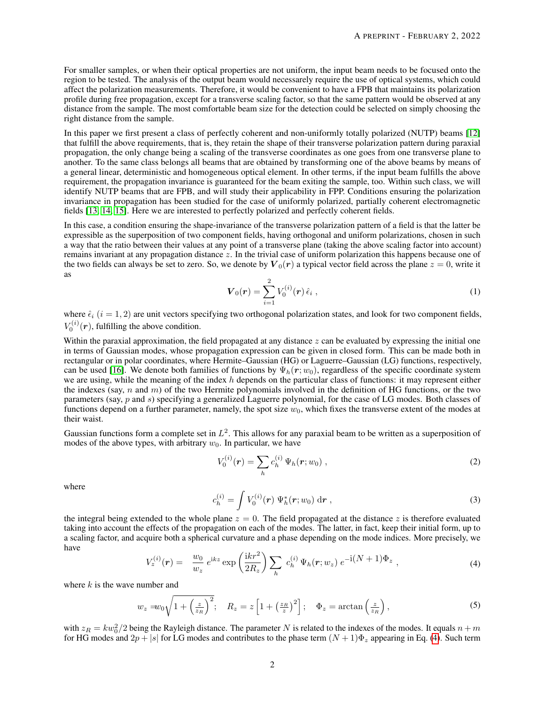For smaller samples, or when their optical properties are not uniform, the input beam needs to be focused onto the region to be tested. The analysis of the output beam would necessarely require the use of optical systems, which could affect the polarization measurements. Therefore, it would be convenient to have a FPB that maintains its polarization profile during free propagation, except for a transverse scaling factor, so that the same pattern would be observed at any distance from the sample. The most comfortable beam size for the detection could be selected on simply choosing the right distance from the sample.

In this paper we first present a class of perfectly coherent and non-uniformly totally polarized (NUTP) beams [\[12\]](#page-5-11) that fulfill the above requirements, that is, they retain the shape of their transverse polarization pattern during paraxial propagation, the only change being a scaling of the transverse coordinates as one goes from one transverse plane to another. To the same class belongs all beams that are obtained by transforming one of the above beams by means of a general linear, deterministic and homogeneous optical element. In other terms, if the input beam fulfills the above requirement, the propagation invariance is guaranteed for the beam exiting the sample, too. Within such class, we will identify NUTP beams that are FPB, and will study their applicability in FPP. Conditions ensuring the polarization invariance in propagation has been studied for the case of uniformly polarized, partially coherent electromagnetic fields [\[13,](#page-5-12) [14,](#page-5-13) [15\]](#page-5-14). Here we are interested to perfectly polarized and perfectly coherent fields.

In this case, a condition ensuring the shape-invariance of the transverse polarization pattern of a field is that the latter be expressible as the superposition of two component fields, having orthogonal and uniform polarizations, chosen in such a way that the ratio between their values at any point of a transverse plane (taking the above scaling factor into account) remains invariant at any propagation distance z. In the trivial case of uniform polarization this happens because one of the two fields can always be set to zero. So, we denote by  $V_0(r)$  a typical vector field across the plane  $z = 0$ , write it as

$$
\boldsymbol{V}_0(\boldsymbol{r}) = \sum_{i=1}^2 V_0^{(i)}(\boldsymbol{r}) \,\hat{\epsilon}_i \;, \tag{1}
$$

<span id="page-1-1"></span>where  $\hat{\epsilon}_i$  ( $i = 1, 2$ ) are unit vectors specifying two orthogonal polarization states, and look for two component fields,  $V_0^{(i)}(\boldsymbol{r})$ , fulfilling the above condition.

Within the paraxial approximation, the field propagated at any distance  $z$  can be evaluated by expressing the initial one in terms of Gaussian modes, whose propagation expression can be given in closed form. This can be made both in rectangular or in polar coordinates, where Hermite–Gaussian (HG) or Laguerre–Gaussian (LG) functions, respectively, can be used [\[16\]](#page-5-15). We denote both families of functions by  $\Psi_h(r; w_0)$ , regardless of the specific coordinate system we are using, while the meaning of the index  $h$  depends on the particular class of functions: it may represent either the indexes (say, n and m) of the two Hermite polynomials involved in the definition of HG functions, or the two parameters (say, p and s) specifying a generalized Laguerre polynomial, for the case of LG modes. Both classes of functions depend on a further parameter, namely, the spot size  $w_0$ , which fixes the transverse extent of the modes at their waist.

Gaussian functions form a complete set in  $L^2$ . This allows for any paraxial beam to be written as a superposition of modes of the above types, with arbitrary  $w_0$ . In particular, we have

$$
V_0^{(i)}(\mathbf{r}) = \sum_h c_h^{(i)} \Psi_h(\mathbf{r}; w_0) , \qquad (2)
$$

where

$$
c_h^{(i)} = \int V_0^{(i)}(\mathbf{r}) \, \Psi_h^*(\mathbf{r}; w_0) \, \mathrm{d}\mathbf{r} \;, \tag{3}
$$

<span id="page-1-0"></span>the integral being extended to the whole plane  $z = 0$ . The field propagated at the distance z is therefore evaluated taking into account the effects of the propagation on each of the modes. The latter, in fact, keep their initial form, up to a scaling factor, and acquire both a spherical curvature and a phase depending on the mode indices. More precisely, we have

$$
V_z^{(i)}(\mathbf{r}) = \frac{w_0}{w_z} e^{ikz} \exp\left(\frac{ikr^2}{2R_z}\right) \sum_h c_h^{(i)} \Psi_h(\mathbf{r}; w_z) e^{-i(N+1)\Phi_z}, \qquad (4)
$$

where  $k$  is the wave number and

$$
w_z = w_0 \sqrt{1 + \left(\frac{z}{z_R}\right)^2}; \quad R_z = z \left[1 + \left(\frac{z_R}{z}\right)^2\right]; \quad \Phi_z = \arctan\left(\frac{z}{z_R}\right),\tag{5}
$$

with  $z_R = kw_0^2/2$  being the Rayleigh distance. The parameter N is related to the indexes of the modes. It equals  $n + m$ for HG modes and  $2p + |s|$  for LG modes and contributes to the phase term  $(N + 1)\Phi_z$  appearing in Eq. [\(4\)](#page-1-0). Such term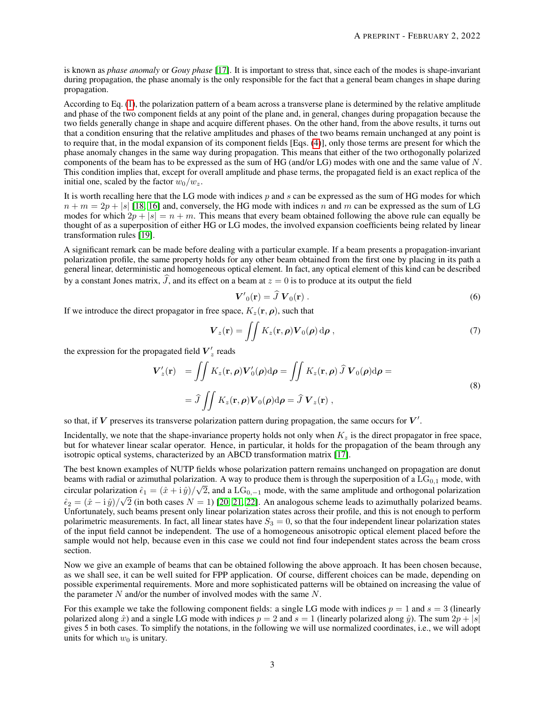is known as *phase anomaly* or *Gouy phase* [\[17\]](#page-5-16). It is important to stress that, since each of the modes is shape-invariant during propagation, the phase anomaly is the only responsible for the fact that a general beam changes in shape during propagation.

According to Eq. [\(1\)](#page-1-1), the polarization pattern of a beam across a transverse plane is determined by the relative amplitude and phase of the two component fields at any point of the plane and, in general, changes during propagation because the two fields generally change in shape and acquire different phases. On the other hand, from the above results, it turns out that a condition ensuring that the relative amplitudes and phases of the two beams remain unchanged at any point is to require that, in the modal expansion of its component fields [Eqs. [\(4\)](#page-1-0)], only those terms are present for which the phase anomaly changes in the same way during propagation. This means that either of the two orthogonally polarized components of the beam has to be expressed as the sum of HG (and/or LG) modes with one and the same value of N. This condition implies that, except for overall amplitude and phase terms, the propagated field is an exact replica of the initial one, scaled by the factor  $w_0/w_z$ .

It is worth recalling here that the LG mode with indices  $p$  and  $s$  can be expressed as the sum of HG modes for which  $n + m = 2p + |s|$  [\[18,](#page-5-17) [16\]](#page-5-15) and, conversely, the HG mode with indices n and m can be expressed as the sum of LG modes for which  $2p + |s| = n + m$ . This means that every beam obtained following the above rule can equally be thought of as a superposition of either HG or LG modes, the involved expansion coefficients being related by linear transformation rules [\[19\]](#page-6-0).

A significant remark can be made before dealing with a particular example. If a beam presents a propagation-invariant polarization profile, the same property holds for any other beam obtained from the first one by placing in its path a general linear, deterministic and homogeneous optical element. In fact, any optical element of this kind can be described by a constant Jones matrix,  $\hat{J}$ , and its effect on a beam at  $z = 0$  is to produce at its output the field

$$
\mathbf{V'}_0(\mathbf{r}) = \hat{J} \, \mathbf{V}_0(\mathbf{r}) \,. \tag{6}
$$

If we introduce the direct propagator in free space,  $K_z(\mathbf{r}, \rho)$ , such that

$$
\boldsymbol{V}_z(\mathbf{r}) = \iint K_z(\mathbf{r}, \boldsymbol{\rho}) \boldsymbol{V}_0(\boldsymbol{\rho}) \,\mathrm{d}\boldsymbol{\rho} \,, \tag{7}
$$

the expression for the propagated field  $\boldsymbol{V}'_z$  reads

$$
V'_{z}(\mathbf{r}) = \iint K_{z}(\mathbf{r}, \rho) V'_{0}(\rho) d\rho = \iint K_{z}(\mathbf{r}, \rho) \,\hat{J} \, V_{0}(\rho) d\rho =
$$
  
=  $\hat{J} \iint K_{z}(\mathbf{r}, \rho) V_{0}(\rho) d\rho = \hat{J} \, V_{z}(\mathbf{r}),$  (8)

so that, if V preserves its transverse polarization pattern during propagation, the same occurs for  $V'$ .

Incidentally, we note that the shape-invariance property holds not only when  $K<sub>z</sub>$  is the direct propagator in free space, but for whatever linear scalar operator. Hence, in particular, it holds for the propagation of the beam through any isotropic optical systems, characterized by an ABCD transformation matrix [\[17\]](#page-5-16).

The best known examples of NUTP fields whose polarization pattern remains unchanged on propagation are donut beams with radial or azimuthal polarization. A way to produce them is through the superposition of a  $LG_{0,1}$  mode, with circular polarization  $\hat{\epsilon}_1 = (\hat{x} + i\hat{y})/\sqrt{2}$ , and a LG<sub>0,-1</sub> mode, with the same amplitude and orthogonal polarization  $\hat{\epsilon}_2 = (\hat{x} - i \hat{y})/\sqrt{2}$  (in both cases  $N = 1$ ) [\[20,](#page-6-1) [21,](#page-6-2) [22\]](#page-6-3). An analogous scheme leads to azimuthally polarized beams. Unfortunately, such beams present only linear polarization states across their profile, and this is not enough to perform polarimetric measurements. In fact, all linear states have  $S_3 = 0$ , so that the four independent linear polarization states of the input field cannot be independent. The use of a homogeneous anisotropic optical element placed before the sample would not help, because even in this case we could not find four independent states across the beam cross section.

Now we give an example of beams that can be obtained following the above approach. It has been chosen because, as we shall see, it can be well suited for FPP application. Of course, different choices can be made, depending on possible experimental requirements. More and more sophisticated patterns will be obtained on increasing the value of the parameter  $N$  and/or the number of involved modes with the same  $N$ .

For this example we take the following component fields: a single LG mode with indices  $p = 1$  and  $s = 3$  (linearly polarized along  $\hat{x}$ ) and a single LG mode with indices  $p = 2$  and  $s = 1$  (linearly polarized along  $\hat{y}$ ). The sum  $2p + |s|$ gives 5 in both cases. To simplify the notations, in the following we will use normalized coordinates, i.e., we will adopt units for which  $w_0$  is unitary.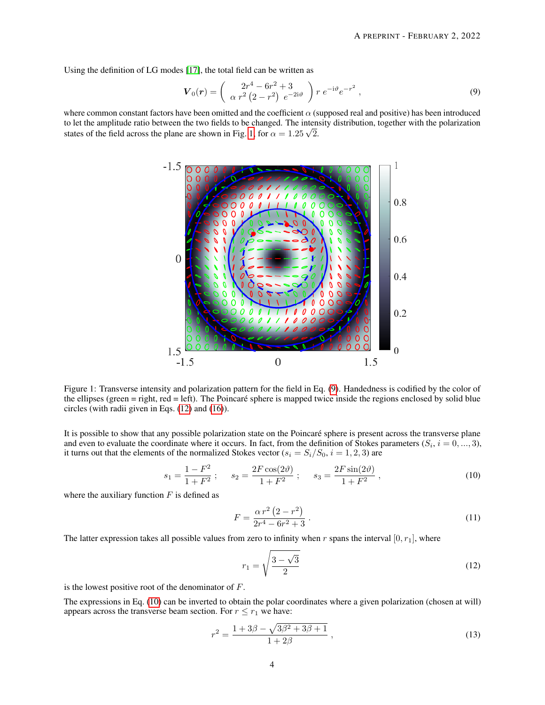Using the definition of LG modes [\[17\]](#page-5-16), the total field can be written as

<span id="page-3-1"></span>
$$
\boldsymbol{V}_0(\boldsymbol{r}) = \begin{pmatrix} 2r^4 - 6r^2 + 3 \\ \alpha r^2 (2 - r^2) e^{-2i\vartheta} \end{pmatrix} r e^{-i\vartheta} e^{-r^2}, \qquad (9)
$$

where common constant factors have been omitted and the coefficient  $\alpha$  (supposed real and positive) has been introduced to let the amplitude ratio between the two fields to be changed. The intensity distribution, together with the polarization states of the field across the plane are shown in Fig. [1,](#page-3-0) for  $\alpha = 1.25\sqrt{2}$ .



<span id="page-3-0"></span>Figure 1: Transverse intensity and polarization pattern for the field in Eq. [\(9\)](#page-3-1). Handedness is codified by the color of the ellipses (green = right, red = left). The Poincaré sphere is mapped twice inside the regions enclosed by solid blue circles (with radii given in Eqs. [\(12\)](#page-3-2) and [\(16\)](#page-4-0)).

It is possible to show that any possible polarization state on the Poincaré sphere is present across the transverse plane and even to evaluate the coordinate where it occurs. In fact, from the definition of Stokes parameters  $(S_i, i = 0, ..., 3)$ , it turns out that the elements of the normalized Stokes vector ( $s_i = S_i/S_0$ ,  $i = 1, 2, 3$ ) are

$$
s_1 = \frac{1 - F^2}{1 + F^2} \; ; \qquad s_2 = \frac{2F\cos(2\vartheta)}{1 + F^2} \; ; \qquad s_3 = \frac{2F\sin(2\vartheta)}{1 + F^2} \; , \tag{10}
$$

where the auxiliary function  $F$  is defined as

<span id="page-3-3"></span>
$$
F = \frac{\alpha r^2 (2 - r^2)}{2r^4 - 6r^2 + 3} \,. \tag{11}
$$

The latter expression takes all possible values from zero to infinity when r spans the interval  $[0, r_1]$ , where

<span id="page-3-2"></span>
$$
r_1 = \sqrt{\frac{3-\sqrt{3}}{2}}\tag{12}
$$

is the lowest positive root of the denominator of  $F$ .

The expressions in Eq. [\(10\)](#page-3-3) can be inverted to obtain the polar coordinates where a given polarization (chosen at will) appears across the transverse beam section. For  $r \le r_1$  we have:

$$
r^{2} = \frac{1 + 3\beta - \sqrt{3\beta^{2} + 3\beta + 1}}{1 + 2\beta},
$$
\n(13)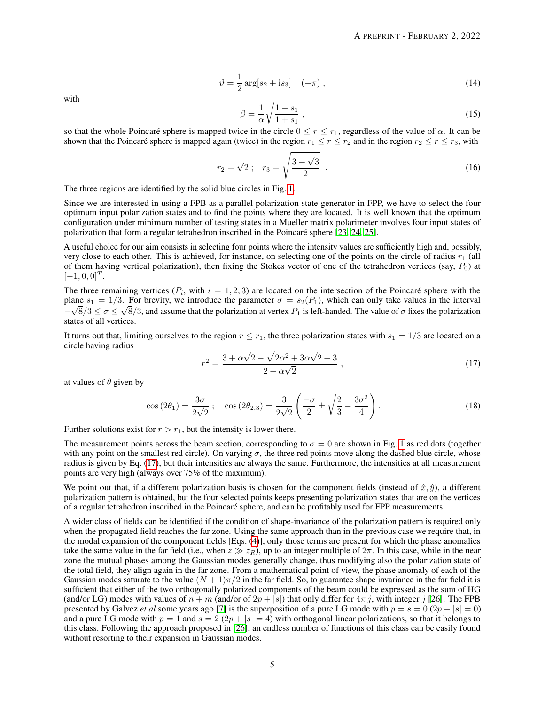$$
\vartheta = \frac{1}{2} \arg[s_2 + is_3] \quad (+\pi) \,, \tag{14}
$$

with

<span id="page-4-0"></span>
$$
\beta = \frac{1}{\alpha} \sqrt{\frac{1 - s_1}{1 + s_1}} \,,\tag{15}
$$

so that the whole Poincaré sphere is mapped twice in the circle  $0 \le r \le r_1$ , regardless of the value of  $\alpha$ . It can be shown that the Poincaré sphere is mapped again (twice) in the region  $r_1 \le r \le r_2$  and in the region  $r_2 \le r \le r_3$ , with

$$
r_2 = \sqrt{2} \; ; \quad r_3 = \sqrt{\frac{3 + \sqrt{3}}{2}} \; . \tag{16}
$$

The three regions are identified by the solid blue circles in Fig. [1.](#page-3-0)

Since we are interested in using a FPB as a parallel polarization state generator in FPP, we have to select the four optimum input polarization states and to find the points where they are located. It is well known that the optimum configuration under minimum number of testing states in a Mueller matrix polarimeter involves four input states of polarization that form a regular tetrahedron inscribed in the Poincaré sphere [\[23,](#page-6-4) [24,](#page-6-5) [25\]](#page-6-6).

A useful choice for our aim consists in selecting four points where the intensity values are sufficiently high and, possibly, very close to each other. This is achieved, for instance, on selecting one of the points on the circle of radius  $r_1$  (all of them having vertical polarization), then fixing the Stokes vector of one of the tetrahedron vertices (say,  $P_0$ ) at  $[-1, 0, 0]^T$ .

The three remaining vertices  $(P_i)$ , with  $i = 1, 2, 3$  are located on the intersection of the Poincaré sphere with the plane  $s_1 = 1/3$ . For brevity, we introduce the parameter  $\sigma = s_2(P_1)$ , which can only take values in the interval  $-\sqrt{8/3} \le \sigma \le \sqrt{8/3}$ , and assume that the polarization at vertex  $P_1$  is left-handed. The value of  $\sigma$  fixes the polarization states of all vertices.

It turns out that, limiting ourselves to the region  $r \le r_1$ , the three polarization states with  $s_1 = 1/3$  are located on a circle having radius √  $<sup>′</sup>$ </sup>

$$
r^{2} = \frac{3 + \alpha\sqrt{2} - \sqrt{2\alpha^{2} + 3\alpha\sqrt{2} + 3}}{2 + \alpha\sqrt{2}},
$$
\n(17)

at values of  $\theta$  given by

<span id="page-4-1"></span>
$$
\cos(2\theta_1) = \frac{3\sigma}{2\sqrt{2}}; \quad \cos(2\theta_{2,3}) = \frac{3}{2\sqrt{2}} \left( \frac{-\sigma}{2} \pm \sqrt{\frac{2}{3} - \frac{3\sigma^2}{4}} \right). \tag{18}
$$

Further solutions exist for  $r > r_1$ , but the intensity is lower there.

The measurement points across the beam section, corresponding to  $\sigma = 0$  are shown in Fig. [1](#page-3-0) as red dots (together with any point on the smallest red circle). On varying  $\sigma$ , the three red points move along the dashed blue circle, whose radius is given by Eq. [\(17\)](#page-4-1), but their intensities are always the same. Furthermore, the intensities at all measurement points are very high (always over 75% of the maximum).

We point out that, if a different polarization basis is chosen for the component fields (instead of  $\hat{x}, \hat{y}$ ), a different polarization pattern is obtained, but the four selected points keeps presenting polarization states that are on the vertices of a regular tetrahedron inscribed in the Poincaré sphere, and can be profitably used for FPP measurements.

A wider class of fields can be identified if the condition of shape-invariance of the polarization pattern is required only when the propagated field reaches the far zone. Using the same approach than in the previous case we require that, in the modal expansion of the component fields [Eqs. [\(4\)](#page-1-0)], only those terms are present for which the phase anomalies take the same value in the far field (i.e., when  $z \gg z_R$ ), up to an integer multiple of  $2\pi$ . In this case, while in the near zone the mutual phases among the Gaussian modes generally change, thus modifying also the polarization state of the total field, they align again in the far zone. From a mathematical point of view, the phase anomaly of each of the Gaussian modes saturate to the value  $(N + 1)\pi/2$  in the far field. So, to guarantee shape invariance in the far field it is sufficient that either of the two orthogonally polarized components of the beam could be expressed as the sum of HG (and/or LG) modes with values of  $n + m$  (and/or of  $2p + |s|$ ) that only differ for  $4\pi j$ , with integer j [\[26\]](#page-6-7). The FPB presented by Galvez *et al* some years ago [\[7\]](#page-5-6) is the superposition of a pure LG mode with  $p = s = 0 (2p + |s| = 0)$ and a pure LG mode with  $p = 1$  and  $s = 2(2p + |s| = 4)$  with orthogonal linear polarizations, so that it belongs to this class. Following the approach proposed in [\[26\]](#page-6-7), an endless number of functions of this class can be easily found without resorting to their expansion in Gaussian modes.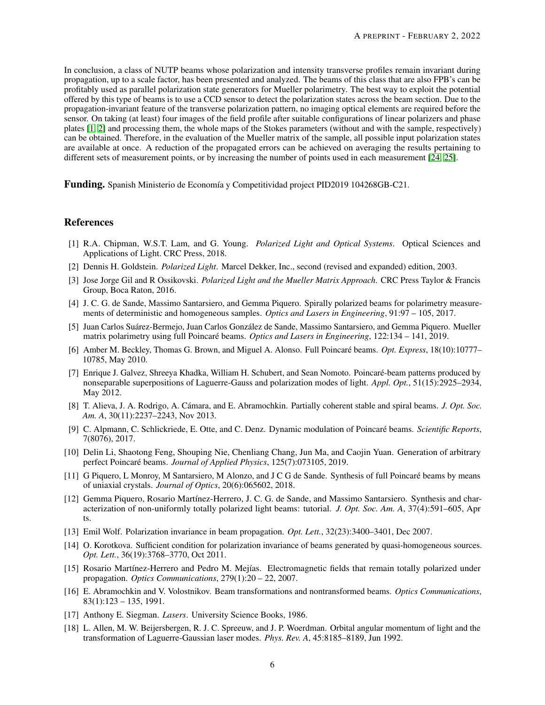In conclusion, a class of NUTP beams whose polarization and intensity transverse profiles remain invariant during propagation, up to a scale factor, has been presented and analyzed. The beams of this class that are also FPB's can be profitably used as parallel polarization state generators for Mueller polarimetry. The best way to exploit the potential offered by this type of beams is to use a CCD sensor to detect the polarization states across the beam section. Due to the propagation-invariant feature of the transverse polarization pattern, no imaging optical elements are required before the sensor. On taking (at least) four images of the field profile after suitable configurations of linear polarizers and phase plates [\[1,](#page-5-0) [2\]](#page-5-1) and processing them, the whole maps of the Stokes parameters (without and with the sample, respectively) can be obtained. Therefore, in the evaluation of the Mueller matrix of the sample, all possible input polarization states are available at once. A reduction of the propagated errors can be achieved on averaging the results pertaining to different sets of measurement points, or by increasing the number of points used in each measurement [\[24,](#page-6-5) [25\]](#page-6-6).

Funding. Spanish Ministerio de Economía y Competitividad project PID2019 104268GB-C21.

## References

- <span id="page-5-0"></span>[1] R.A. Chipman, W.S.T. Lam, and G. Young. *Polarized Light and Optical Systems*. Optical Sciences and Applications of Light. CRC Press, 2018.
- <span id="page-5-1"></span>[2] Dennis H. Goldstein. *Polarized Light*. Marcel Dekker, Inc., second (revised and expanded) edition, 2003.
- <span id="page-5-2"></span>[3] Jose Jorge Gil and R Ossikovski. *Polarized Light and the Mueller Matrix Approach*. CRC Press Taylor & Francis Group, Boca Raton, 2016.
- <span id="page-5-3"></span>[4] J. C. G. de Sande, Massimo Santarsiero, and Gemma Piquero. Spirally polarized beams for polarimetry measurements of deterministic and homogeneous samples. *Optics and Lasers in Engineering*, 91:97 – 105, 2017.
- <span id="page-5-4"></span>[5] Juan Carlos Suárez-Bermejo, Juan Carlos González de Sande, Massimo Santarsiero, and Gemma Piquero. Mueller matrix polarimetry using full Poincaré beams. *Optics and Lasers in Engineering*, 122:134 – 141, 2019.
- <span id="page-5-5"></span>[6] Amber M. Beckley, Thomas G. Brown, and Miguel A. Alonso. Full Poincaré beams. *Opt. Express*, 18(10):10777– 10785, May 2010.
- <span id="page-5-6"></span>[7] Enrique J. Galvez, Shreeya Khadka, William H. Schubert, and Sean Nomoto. Poincaré-beam patterns produced by nonseparable superpositions of Laguerre-Gauss and polarization modes of light. *Appl. Opt.*, 51(15):2925–2934, May 2012.
- <span id="page-5-7"></span>[8] T. Alieva, J. A. Rodrigo, A. Cámara, and E. Abramochkin. Partially coherent stable and spiral beams. *J. Opt. Soc. Am. A*, 30(11):2237–2243, Nov 2013.
- <span id="page-5-8"></span>[9] C. Alpmann, C. Schlickriede, E. Otte, and C. Denz. Dynamic modulation of Poincaré beams. *Scientific Reports*, 7(8076), 2017.
- <span id="page-5-9"></span>[10] Delin Li, Shaotong Feng, Shouping Nie, Chenliang Chang, Jun Ma, and Caojin Yuan. Generation of arbitrary perfect Poincaré beams. *Journal of Applied Physics*, 125(7):073105, 2019.
- <span id="page-5-10"></span>[11] G Piquero, L Monroy, M Santarsiero, M Alonzo, and J C G de Sande. Synthesis of full Poincaré beams by means of uniaxial crystals. *Journal of Optics*, 20(6):065602, 2018.
- <span id="page-5-11"></span>[12] Gemma Piquero, Rosario Martínez-Herrero, J. C. G. de Sande, and Massimo Santarsiero. Synthesis and characterization of non-uniformly totally polarized light beams: tutorial. *J. Opt. Soc. Am. A*, 37(4):591–605, Apr ts.
- <span id="page-5-12"></span>[13] Emil Wolf. Polarization invariance in beam propagation. *Opt. Lett.*, 32(23):3400–3401, Dec 2007.
- <span id="page-5-13"></span>[14] O. Korotkova. Sufficient condition for polarization invariance of beams generated by quasi-homogeneous sources. *Opt. Lett.*, 36(19):3768–3770, Oct 2011.
- <span id="page-5-14"></span>[15] Rosario Martínez-Herrero and Pedro M. Mejías. Electromagnetic fields that remain totally polarized under propagation. *Optics Communications*, 279(1):20 – 22, 2007.
- <span id="page-5-15"></span>[16] E. Abramochkin and V. Volostnikov. Beam transformations and nontransformed beams. *Optics Communications*, 83(1):123 – 135, 1991.
- <span id="page-5-16"></span>[17] Anthony E. Siegman. *Lasers*. University Science Books, 1986.
- <span id="page-5-17"></span>[18] L. Allen, M. W. Beijersbergen, R. J. C. Spreeuw, and J. P. Woerdman. Orbital angular momentum of light and the transformation of Laguerre-Gaussian laser modes. *Phys. Rev. A*, 45:8185–8189, Jun 1992.